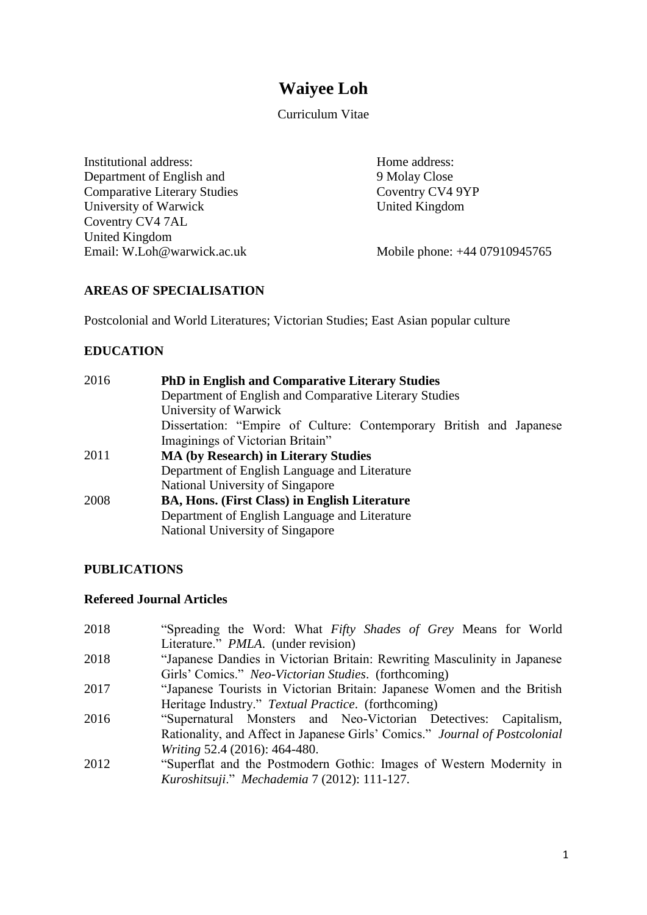# **Waiyee Loh**

Curriculum Vitae

Institutional address: Department of English and Comparative Literary Studies University of Warwick Coventry CV4 7AL United Kingdom Email: W.Loh@warwick.ac.uk Home address: 9 Molay Close Coventry CV4 9YP United Kingdom

Mobile phone: +44 07910945765

## **AREAS OF SPECIALISATION**

Postcolonial and World Literatures; Victorian Studies; East Asian popular culture

## **EDUCATION**

| 2016 | <b>PhD in English and Comparative Literary Studies</b>              |  |  |
|------|---------------------------------------------------------------------|--|--|
|      | Department of English and Comparative Literary Studies              |  |  |
|      | University of Warwick                                               |  |  |
|      | Dissertation: "Empire of Culture: Contemporary British and Japanese |  |  |
|      | Imaginings of Victorian Britain"                                    |  |  |
| 2011 | <b>MA (by Research) in Literary Studies</b>                         |  |  |
|      | Department of English Language and Literature                       |  |  |
|      | National University of Singapore                                    |  |  |
| 2008 | <b>BA, Hons. (First Class) in English Literature</b>                |  |  |
|      | Department of English Language and Literature                       |  |  |
|      | National University of Singapore                                    |  |  |

## **PUBLICATIONS**

#### **Refereed Journal Articles**

| 2018 | "Spreading the Word: What Fifty Shades of Grey Means for World              |
|------|-----------------------------------------------------------------------------|
|      | Literature." <i>PMLA</i> . (under revision)                                 |
| 2018 | "Japanese Dandies in Victorian Britain: Rewriting Masculinity in Japanese   |
|      | Girls' Comics." Neo-Victorian Studies. (forthcoming)                        |
| 2017 | "Japanese Tourists in Victorian Britain: Japanese Women and the British     |
|      | Heritage Industry." Textual Practice. (forthcoming)                         |
| 2016 | "Supernatural Monsters and Neo-Victorian Detectives: Capitalism,            |
|      | Rationality, and Affect in Japanese Girls' Comics." Journal of Postcolonial |
|      | <i>Writing</i> 52.4 (2016): 464-480.                                        |
| 2012 | "Superflat and the Postmodern Gothic: Images of Western Modernity in        |
|      | Kuroshitsuji." Mechademia 7 (2012): 111-127.                                |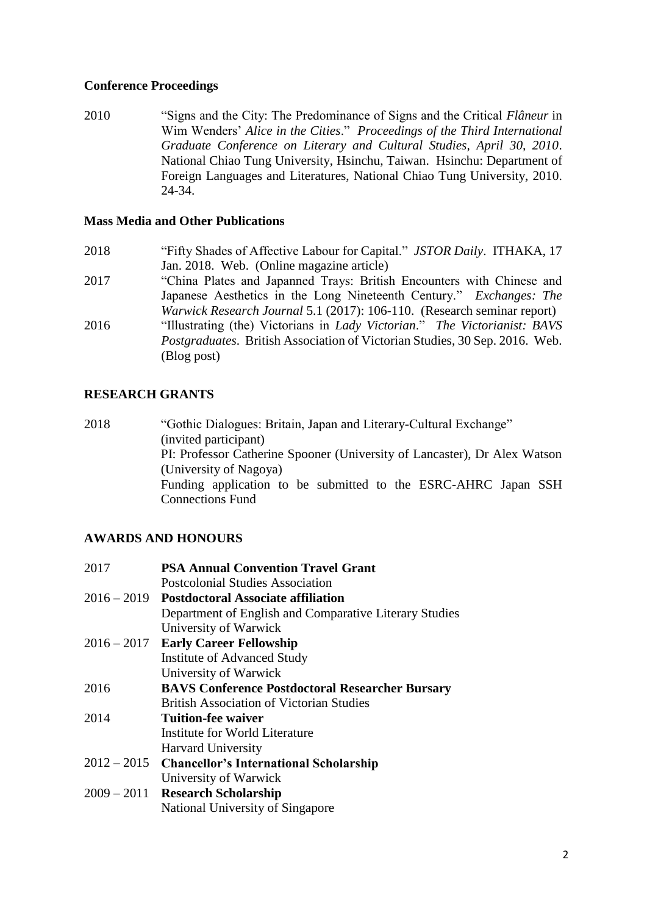## **Conference Proceedings**

2010 "Signs and the City: The Predominance of Signs and the Critical *Flâneur* in Wim Wenders' *Alice in the Cities*." *Proceedings of the Third International Graduate Conference on Literary and Cultural Studies, April 30, 2010*. National Chiao Tung University, Hsinchu, Taiwan. Hsinchu: Department of Foreign Languages and Literatures, National Chiao Tung University, 2010. 24-34.

### **Mass Media and Other Publications**

- 2018 "Fifty Shades of Affective Labour for Capital." *JSTOR Daily*. ITHAKA, 17 Jan. 2018. Web. (Online magazine article)
- 2017 "China Plates and Japanned Trays: British Encounters with Chinese and Japanese Aesthetics in the Long Nineteenth Century." *Exchanges: The Warwick Research Journal* 5.1 (2017): 106-110. (Research seminar report)
- 2016 "Illustrating (the) Victorians in *Lady Victorian*." *The Victorianist: BAVS Postgraduates*. British Association of Victorian Studies, 30 Sep. 2016. Web. (Blog post)

## **RESEARCH GRANTS**

2018 "Gothic Dialogues: Britain, Japan and Literary-Cultural Exchange" (invited participant) PI: Professor Catherine Spooner (University of Lancaster), Dr Alex Watson (University of Nagoya) Funding application to be submitted to the ESRC-AHRC Japan SSH Connections Fund

## **AWARDS AND HONOURS**

| 2017          | <b>PSA Annual Convention Travel Grant</b>              |  |
|---------------|--------------------------------------------------------|--|
|               | Postcolonial Studies Association                       |  |
| $2016 - 2019$ | <b>Postdoctoral Associate affiliation</b>              |  |
|               | Department of English and Comparative Literary Studies |  |
|               | University of Warwick                                  |  |
| $2016 - 2017$ | <b>Early Career Fellowship</b>                         |  |
|               | <b>Institute of Advanced Study</b>                     |  |
|               | University of Warwick                                  |  |
| 2016          | <b>BAVS Conference Postdoctoral Researcher Bursary</b> |  |
|               | <b>British Association of Victorian Studies</b>        |  |
| 2014          | Tuition-fee waiver                                     |  |
|               | Institute for World Literature                         |  |
|               | <b>Harvard University</b>                              |  |
|               | 2012 – 2015 Chancellor's International Scholarship     |  |
|               | University of Warwick                                  |  |
| $2009 - 2011$ | <b>Research Scholarship</b>                            |  |
|               | National University of Singapore                       |  |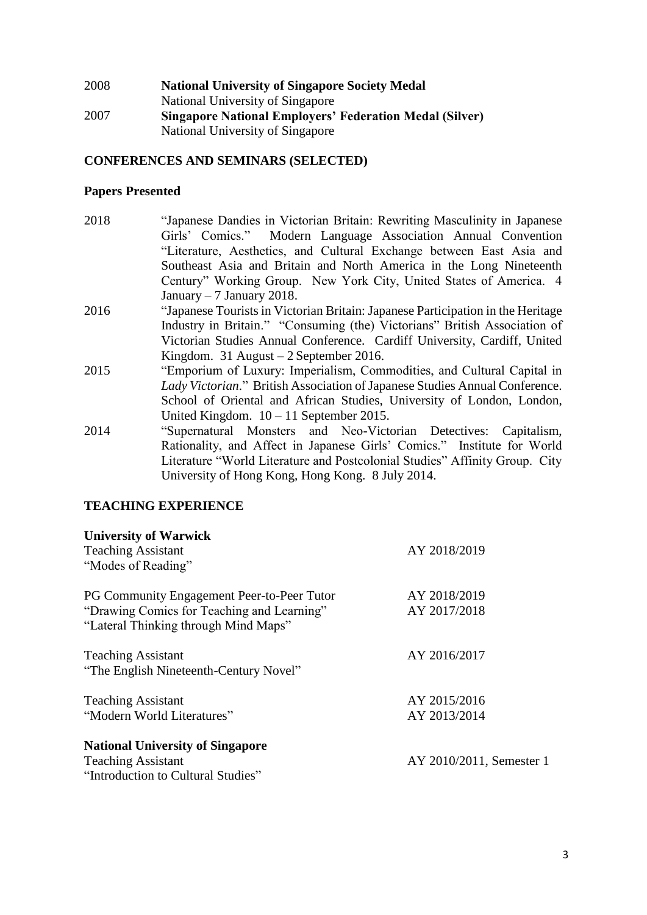| 2008 | <b>National University of Singapore Society Medal</b>          |
|------|----------------------------------------------------------------|
|      | National University of Singapore                               |
| 2007 | <b>Singapore National Employers' Federation Medal (Silver)</b> |
|      | National University of Singapore                               |

# **CONFERENCES AND SEMINARS (SELECTED)**

# **Papers Presented**

| 2018 | "Japanese Dandies in Victorian Britain: Rewriting Masculinity in Japanese       |  |
|------|---------------------------------------------------------------------------------|--|
|      | Girls' Comics." Modern Language Association Annual Convention                   |  |
|      | "Literature, Aesthetics, and Cultural Exchange between East Asia and            |  |
|      | Southeast Asia and Britain and North America in the Long Nineteenth             |  |
|      | Century" Working Group. New York City, United States of America. 4              |  |
|      | January $-7$ January 2018.                                                      |  |
| 2016 | "Japanese Tourists in Victorian Britain: Japanese Participation in the Heritage |  |
|      | Industry in Britain." "Consuming (the) Victorians" British Association of       |  |
|      | Victorian Studies Annual Conference. Cardiff University, Cardiff, United        |  |
|      | Kingdom. 31 August $-2$ September 2016.                                         |  |
| 2015 | "Emporium of Luxury: Imperialism, Commodities, and Cultural Capital in          |  |
|      | Lady Victorian." British Association of Japanese Studies Annual Conference.     |  |
|      | School of Oriental and African Studies, University of London, London,           |  |
|      | United Kingdom. $10 - 11$ September 2015.                                       |  |
| 2014 | "Supernatural Monsters and Neo-Victorian Detectives: Capitalism,                |  |
|      | Rationality, and Affect in Japanese Girls' Comics." Institute for World         |  |
|      | Literature "World Literature and Postcolonial Studies" Affinity Group. City     |  |
|      | University of Hong Kong, Hong Kong. 8 July 2014.                                |  |

# **TEACHING EXPERIENCE**

| <b>University of Warwick</b><br><b>Teaching Assistant</b><br>"Modes of Reading"                                                  | AY 2018/2019                 |
|----------------------------------------------------------------------------------------------------------------------------------|------------------------------|
| PG Community Engagement Peer-to-Peer Tutor<br>"Drawing Comics for Teaching and Learning"<br>"Lateral Thinking through Mind Maps" | AY 2018/2019<br>AY 2017/2018 |
| <b>Teaching Assistant</b><br>"The English Nineteenth-Century Novel"                                                              | AY 2016/2017                 |
| <b>Teaching Assistant</b><br>"Modern World Literatures"                                                                          | AY 2015/2016<br>AY 2013/2014 |
| <b>National University of Singapore</b><br><b>Teaching Assistant</b><br>"Introduction to Cultural Studies"                       | AY 2010/2011, Semester 1     |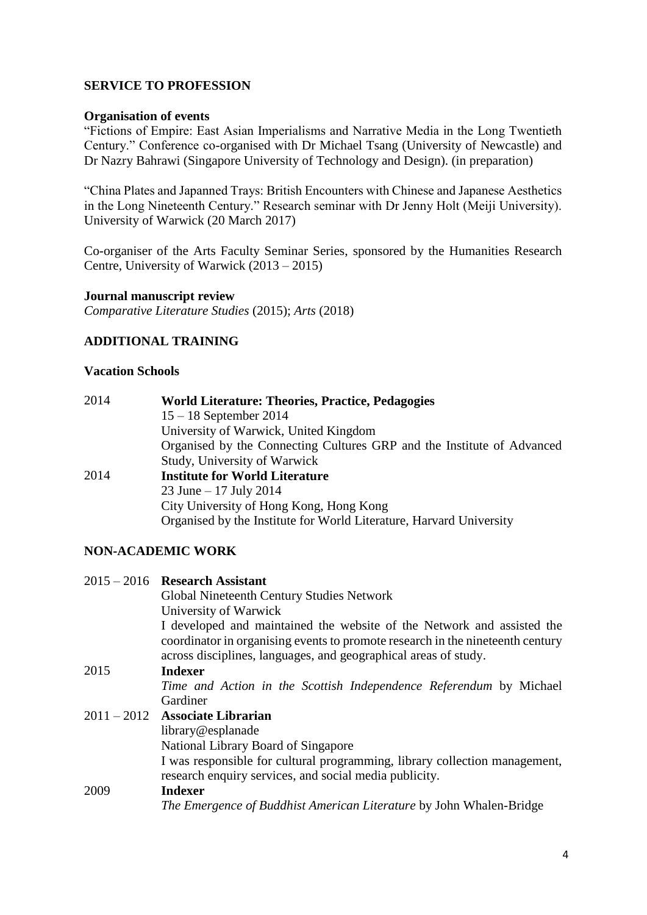## **SERVICE TO PROFESSION**

### **Organisation of events**

"Fictions of Empire: East Asian Imperialisms and Narrative Media in the Long Twentieth Century." Conference co-organised with Dr Michael Tsang (University of Newcastle) and Dr Nazry Bahrawi (Singapore University of Technology and Design). (in preparation)

"China Plates and Japanned Trays: British Encounters with Chinese and Japanese Aesthetics in the Long Nineteenth Century." Research seminar with Dr Jenny Holt (Meiji University). University of Warwick (20 March 2017)

Co-organiser of the Arts Faculty Seminar Series, sponsored by the Humanities Research Centre, University of Warwick (2013 – 2015)

### **Journal manuscript review**

*Comparative Literature Studies* (2015); *Arts* (2018)

## **ADDITIONAL TRAINING**

### **Vacation Schools**

| 2014 | <b>World Literature: Theories, Practice, Pedagogies</b>                |  |
|------|------------------------------------------------------------------------|--|
|      | $15 - 18$ September 2014                                               |  |
|      | University of Warwick, United Kingdom                                  |  |
|      | Organised by the Connecting Cultures GRP and the Institute of Advanced |  |
|      | Study, University of Warwick                                           |  |
| 2014 | <b>Institute for World Literature</b>                                  |  |
|      | 23 June $-17$ July 2014                                                |  |
|      | City University of Hong Kong, Hong Kong                                |  |
|      | Organised by the Institute for World Literature, Harvard University    |  |

## **NON-ACADEMIC WORK**

|      | $2015 - 2016$ Research Assistant<br><b>Global Nineteenth Century Studies Network</b><br>University of Warwick<br>I developed and maintained the website of the Network and assisted the<br>coordinator in organising events to promote research in the nineteenth century<br>across disciplines, languages, and geographical areas of study. |
|------|----------------------------------------------------------------------------------------------------------------------------------------------------------------------------------------------------------------------------------------------------------------------------------------------------------------------------------------------|
| 2015 | <b>Indexer</b>                                                                                                                                                                                                                                                                                                                               |
|      | Time and Action in the Scottish Independence Referendum by Michael                                                                                                                                                                                                                                                                           |
|      | Gardiner                                                                                                                                                                                                                                                                                                                                     |
|      | 2011 - 2012 Associate Librarian                                                                                                                                                                                                                                                                                                              |
|      | library@esplanade                                                                                                                                                                                                                                                                                                                            |
|      | National Library Board of Singapore                                                                                                                                                                                                                                                                                                          |
|      | I was responsible for cultural programming, library collection management,<br>research enquiry services, and social media publicity.                                                                                                                                                                                                         |
| 2009 | Indexer                                                                                                                                                                                                                                                                                                                                      |
|      | The Emergence of Buddhist American Literature by John Whalen-Bridge                                                                                                                                                                                                                                                                          |